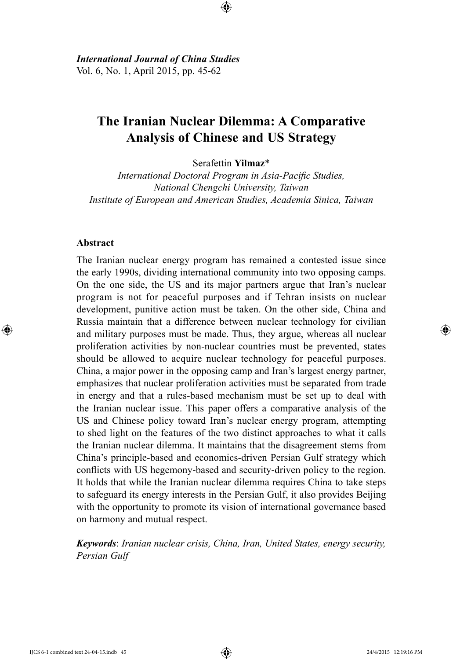# **The Iranian Nuclear Dilemma: A Comparative Analysis of Chinese and US Strategy**

Serafettin **Yilmaz**\*

*International Doctoral Program in Asia-Pacific Studies, National Chengchi University, Taiwan Institute of European and American Studies, Academia Sinica, Taiwan*

### **Abstract**

The Iranian nuclear energy program has remained a contested issue since the early 1990s, dividing international community into two opposing camps. On the one side, the US and its major partners argue that Iran's nuclear program is not for peaceful purposes and if Tehran insists on nuclear development, punitive action must be taken. On the other side, China and Russia maintain that a difference between nuclear technology for civilian and military purposes must be made. Thus, they argue, whereas all nuclear proliferation activities by non-nuclear countries must be prevented, states should be allowed to acquire nuclear technology for peaceful purposes. China, a major power in the opposing camp and Iran's largest energy partner, emphasizes that nuclear proliferation activities must be separated from trade in energy and that a rules-based mechanism must be set up to deal with the Iranian nuclear issue. This paper offers a comparative analysis of the US and Chinese policy toward Iran's nuclear energy program, attempting to shed light on the features of the two distinct approaches to what it calls the Iranian nuclear dilemma. It maintains that the disagreement stems from China's principle-based and economics-driven Persian Gulf strategy which conflicts with US hegemony-based and security-driven policy to the region. It holds that while the Iranian nuclear dilemma requires China to take steps to safeguard its energy interests in the Persian Gulf, it also provides Beijing with the opportunity to promote its vision of international governance based on harmony and mutual respect.

*Keywords*: *Iranian nuclear crisis, China, Iran, United States, energy security, Persian Gulf*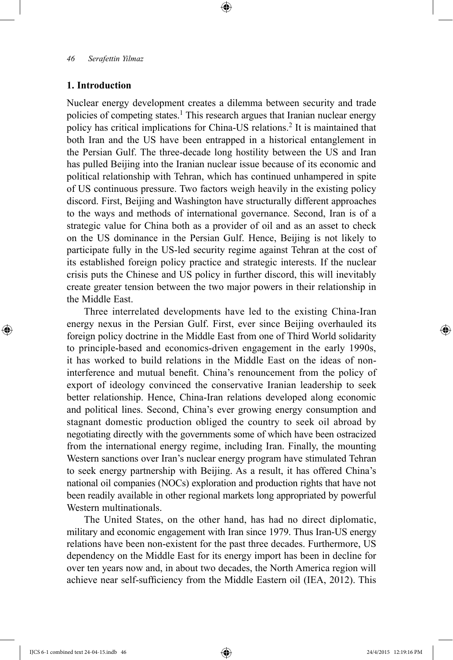# **1. Introduction**

Nuclear energy development creates a dilemma between security and trade policies of competing states.1 This research argues that Iranian nuclear energy policy has critical implications for China-US relations.2 It is maintained that both Iran and the US have been entrapped in a historical entanglement in the Persian Gulf. The three-decade long hostility between the US and Iran has pulled Beijing into the Iranian nuclear issue because of its economic and political relationship with Tehran, which has continued unhampered in spite of US continuous pressure. Two factors weigh heavily in the existing policy discord. First, Beijing and Washington have structurally different approaches to the ways and methods of international governance. Second, Iran is of a strategic value for China both as a provider of oil and as an asset to check on the US dominance in the Persian Gulf. Hence, Beijing is not likely to participate fully in the US-led security regime against Tehran at the cost of its established foreign policy practice and strategic interests. If the nuclear crisis puts the Chinese and US policy in further discord, this will inevitably create greater tension between the two major powers in their relationship in the Middle East.

Three interrelated developments have led to the existing China-Iran energy nexus in the Persian Gulf. First, ever since Beijing overhauled its foreign policy doctrine in the Middle East from one of Third World solidarity to principle-based and economics-driven engagement in the early 1990s, it has worked to build relations in the Middle East on the ideas of noninterference and mutual benefit. China's renouncement from the policy of export of ideology convinced the conservative Iranian leadership to seek better relationship. Hence, China-Iran relations developed along economic and political lines. Second, China's ever growing energy consumption and stagnant domestic production obliged the country to seek oil abroad by negotiating directly with the governments some of which have been ostracized from the international energy regime, including Iran. Finally, the mounting Western sanctions over Iran's nuclear energy program have stimulated Tehran to seek energy partnership with Beijing. As a result, it has offered China's national oil companies (NOCs) exploration and production rights that have not been readily available in other regional markets long appropriated by powerful Western multinationals.

The United States, on the other hand, has had no direct diplomatic, military and economic engagement with Iran since 1979. Thus Iran-US energy relations have been non-existent for the past three decades. Furthermore, US dependency on the Middle East for its energy import has been in decline for over ten years now and, in about two decades, the North America region will achieve near self-sufficiency from the Middle Eastern oil (IEA, 2012). This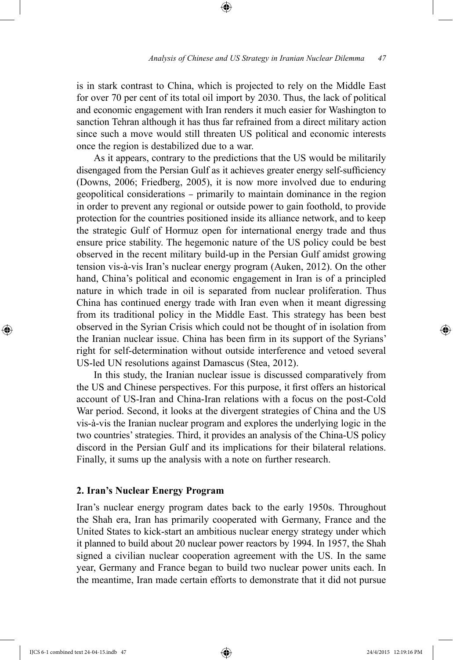is in stark contrast to China, which is projected to rely on the Middle East for over 70 per cent of its total oil import by 2030. Thus, the lack of political and economic engagement with Iran renders it much easier for Washington to sanction Tehran although it has thus far refrained from a direct military action since such a move would still threaten US political and economic interests once the region is destabilized due to a war.

As it appears, contrary to the predictions that the US would be militarily disengaged from the Persian Gulf as it achieves greater energy self-sufficiency (Downs, 2006; Friedberg, 2005), it is now more involved due to enduring geopolitical considerations – primarily to maintain dominance in the region in order to prevent any regional or outside power to gain foothold, to provide protection for the countries positioned inside its alliance network, and to keep the strategic Gulf of Hormuz open for international energy trade and thus ensure price stability. The hegemonic nature of the US policy could be best observed in the recent military build-up in the Persian Gulf amidst growing tension vis-à-vis Iran's nuclear energy program (Auken, 2012). On the other hand, China's political and economic engagement in Iran is of a principled nature in which trade in oil is separated from nuclear proliferation. Thus China has continued energy trade with Iran even when it meant digressing from its traditional policy in the Middle East. This strategy has been best observed in the Syrian Crisis which could not be thought of in isolation from the Iranian nuclear issue. China has been firm in its support of the Syrians' right for self-determination without outside interference and vetoed several US-led UN resolutions against Damascus (Stea, 2012).

In this study, the Iranian nuclear issue is discussed comparatively from the US and Chinese perspectives. For this purpose, it first offers an historical account of US-Iran and China-Iran relations with a focus on the post-Cold War period. Second, it looks at the divergent strategies of China and the US vis-à-vis the Iranian nuclear program and explores the underlying logic in the two countries' strategies. Third, it provides an analysis of the China-US policy discord in the Persian Gulf and its implications for their bilateral relations. Finally, it sums up the analysis with a note on further research.

### **2. Iran's Nuclear Energy Program**

Iran's nuclear energy program dates back to the early 1950s. Throughout the Shah era, Iran has primarily cooperated with Germany, France and the United States to kick-start an ambitious nuclear energy strategy under which it planned to build about 20 nuclear power reactors by 1994. In 1957, the Shah signed a civilian nuclear cooperation agreement with the US. In the same year, Germany and France began to build two nuclear power units each. In the meantime, Iran made certain efforts to demonstrate that it did not pursue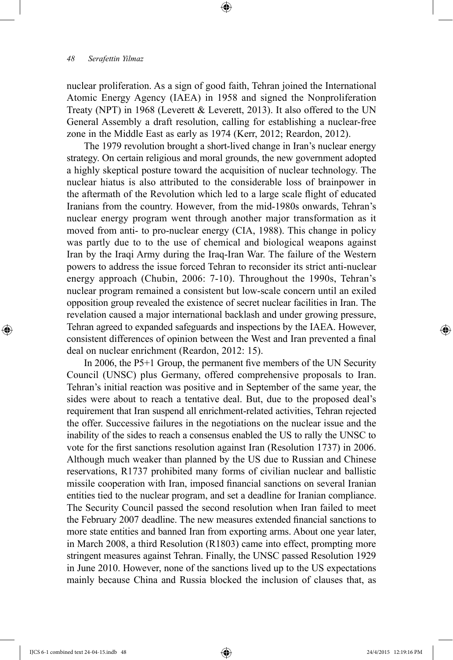nuclear proliferation. As a sign of good faith, Tehran joined the International Atomic Energy Agency (IAEA) in 1958 and signed the Nonproliferation Treaty (NPT) in 1968 (Leverett & Leverett, 2013). It also offered to the UN General Assembly a draft resolution, calling for establishing a nuclear-free zone in the Middle East as early as 1974 (Kerr, 2012; Reardon, 2012).

The 1979 revolution brought a short-lived change in Iran's nuclear energy strategy. On certain religious and moral grounds, the new government adopted a highly skeptical posture toward the acquisition of nuclear technology. The nuclear hiatus is also attributed to the considerable loss of brainpower in the aftermath of the Revolution which led to a large scale flight of educated Iranians from the country. However, from the mid-1980s onwards, Tehran's nuclear energy program went through another major transformation as it moved from anti- to pro-nuclear energy (CIA, 1988). This change in policy was partly due to to the use of chemical and biological weapons against Iran by the Iraqi Army during the Iraq-Iran War. The failure of the Western powers to address the issue forced Tehran to reconsider its strict anti-nuclear energy approach (Chubin, 2006: 7-10). Throughout the 1990s, Tehran's nuclear program remained a consistent but low-scale concern until an exiled opposition group revealed the existence of secret nuclear facilities in Iran. The revelation caused a major international backlash and under growing pressure, Tehran agreed to expanded safeguards and inspections by the IAEA. However, consistent differences of opinion between the West and Iran prevented a final deal on nuclear enrichment (Reardon, 2012: 15).

In 2006, the P5+1 Group, the permanent five members of the UN Security Council (UNSC) plus Germany, offered comprehensive proposals to Iran. Tehran's initial reaction was positive and in September of the same year, the sides were about to reach a tentative deal. But, due to the proposed deal's requirement that Iran suspend all enrichment-related activities, Tehran rejected the offer. Successive failures in the negotiations on the nuclear issue and the inability of the sides to reach a consensus enabled the US to rally the UNSC to vote for the first sanctions resolution against Iran (Resolution 1737) in 2006. Although much weaker than planned by the US due to Russian and Chinese reservations, R1737 prohibited many forms of civilian nuclear and ballistic missile cooperation with Iran, imposed financial sanctions on several Iranian entities tied to the nuclear program, and set a deadline for Iranian compliance. The Security Council passed the second resolution when Iran failed to meet the February 2007 deadline. The new measures extended financial sanctions to more state entities and banned Iran from exporting arms. About one year later, in March 2008, a third Resolution (R1803) came into effect, prompting more stringent measures against Tehran. Finally, the UNSC passed Resolution 1929 in June 2010. However, none of the sanctions lived up to the US expectations mainly because China and Russia blocked the inclusion of clauses that, as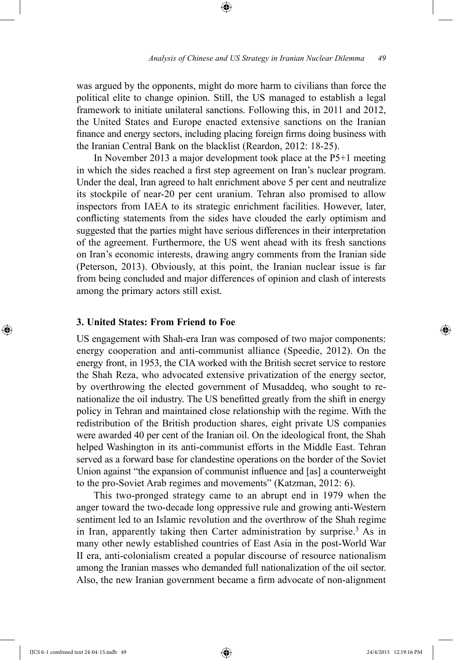was argued by the opponents, might do more harm to civilians than force the political elite to change opinion. Still, the US managed to establish a legal framework to initiate unilateral sanctions. Following this, in 2011 and 2012, the United States and Europe enacted extensive sanctions on the Iranian finance and energy sectors, including placing foreign firms doing business with the Iranian Central Bank on the blacklist (Reardon, 2012: 18-25).

In November 2013 a major development took place at the P5+1 meeting in which the sides reached a first step agreement on Iran's nuclear program. Under the deal, Iran agreed to halt enrichment above 5 per cent and neutralize its stockpile of near-20 per cent uranium. Tehran also promised to allow inspectors from IAEA to its strategic enrichment facilities. However, later, conflicting statements from the sides have clouded the early optimism and suggested that the parties might have serious differences in their interpretation of the agreement. Furthermore, the US went ahead with its fresh sanctions on Iran's economic interests, drawing angry comments from the Iranian side (Peterson, 2013). Obviously, at this point, the Iranian nuclear issue is far from being concluded and major differences of opinion and clash of interests among the primary actors still exist.

### **3. United States: From Friend to Foe**

US engagement with Shah-era Iran was composed of two major components: energy cooperation and anti-communist alliance (Speedie, 2012). On the energy front, in 1953, the CIA worked with the British secret service to restore the Shah Reza, who advocated extensive privatization of the energy sector, by overthrowing the elected government of Musaddeq, who sought to renationalize the oil industry. The US benefitted greatly from the shift in energy policy in Tehran and maintained close relationship with the regime. With the redistribution of the British production shares, eight private US companies were awarded 40 per cent of the Iranian oil. On the ideological front, the Shah helped Washington in its anti-communist efforts in the Middle East. Tehran served as a forward base for clandestine operations on the border of the Soviet Union against "the expansion of communist influence and [as] a counterweight to the pro-Soviet Arab regimes and movements" (Katzman, 2012: 6).

This two-pronged strategy came to an abrupt end in 1979 when the anger toward the two-decade long oppressive rule and growing anti-Western sentiment led to an Islamic revolution and the overthrow of the Shah regime in Iran, apparently taking then Carter administration by surprise.<sup>3</sup> As in many other newly established countries of East Asia in the post-World War II era, anti-colonialism created a popular discourse of resource nationalism among the Iranian masses who demanded full nationalization of the oil sector. Also, the new Iranian government became a firm advocate of non-alignment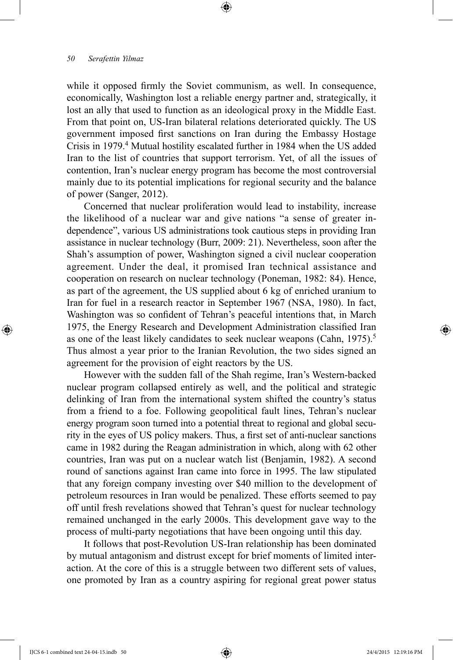while it opposed firmly the Soviet communism, as well. In consequence, economically, Washington lost a reliable energy partner and, strategically, it lost an ally that used to function as an ideological proxy in the Middle East. From that point on, US-Iran bilateral relations deteriorated quickly. The US government imposed first sanctions on Iran during the Embassy Hostage Crisis in 1979.4 Mutual hostility escalated further in 1984 when the US added Iran to the list of countries that support terrorism. Yet, of all the issues of contention, Iran's nuclear energy program has become the most controversial mainly due to its potential implications for regional security and the balance of power (Sanger, 2012).

Concerned that nuclear proliferation would lead to instability, increase the likelihood of a nuclear war and give nations "a sense of greater independence", various US administrations took cautious steps in providing Iran assistance in nuclear technology (Burr, 2009: 21). Nevertheless, soon after the Shah's assumption of power, Washington signed a civil nuclear cooperation agreement. Under the deal, it promised Iran technical assistance and cooperation on research on nuclear technology (Poneman, 1982: 84). Hence, as part of the agreement, the US supplied about 6 kg of enriched uranium to Iran for fuel in a research reactor in September 1967 (NSA, 1980). In fact, Washington was so confident of Tehran's peaceful intentions that, in March 1975, the Energy Research and Development Administration classified Iran as one of the least likely candidates to seek nuclear weapons (Cahn, 1975).<sup>5</sup> Thus almost a year prior to the Iranian Revolution, the two sides signed an agreement for the provision of eight reactors by the US.

However with the sudden fall of the Shah regime, Iran's Western-backed nuclear program collapsed entirely as well, and the political and strategic delinking of Iran from the international system shifted the country's status from a friend to a foe. Following geopolitical fault lines, Tehran's nuclear energy program soon turned into a potential threat to regional and global security in the eyes of US policy makers. Thus, a first set of anti-nuclear sanctions came in 1982 during the Reagan administration in which, along with 62 other countries, Iran was put on a nuclear watch list (Benjamin, 1982). A second round of sanctions against Iran came into force in 1995. The law stipulated that any foreign company investing over \$40 million to the development of petroleum resources in Iran would be penalized. These efforts seemed to pay off until fresh revelations showed that Tehran's quest for nuclear technology remained unchanged in the early 2000s. This development gave way to the process of multi-party negotiations that have been ongoing until this day.

It follows that post-Revolution US-Iran relationship has been dominated by mutual antagonism and distrust except for brief moments of limited interaction. At the core of this is a struggle between two different sets of values, one promoted by Iran as a country aspiring for regional great power status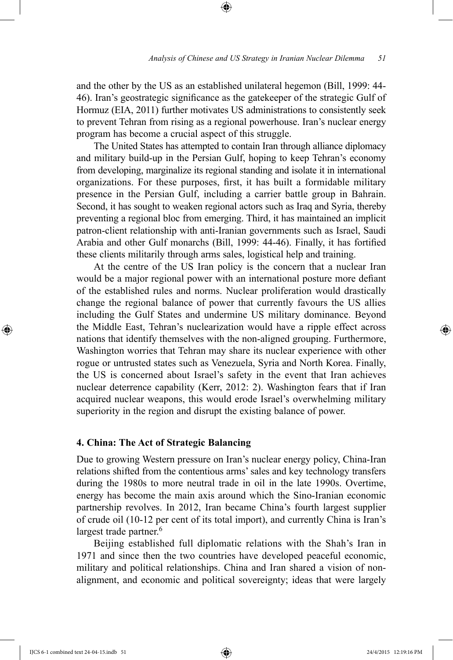and the other by the US as an established unilateral hegemon (Bill, 1999: 44- 46). Iran's geostrategic significance as the gatekeeper of the strategic Gulf of Hormuz (EIA, 2011) further motivates US administrations to consistently seek to prevent Tehran from rising as a regional powerhouse. Iran's nuclear energy program has become a crucial aspect of this struggle.

The United States has attempted to contain Iran through alliance diplomacy and military build-up in the Persian Gulf, hoping to keep Tehran's economy from developing, marginalize its regional standing and isolate it in international organizations. For these purposes, first, it has built a formidable military presence in the Persian Gulf, including a carrier battle group in Bahrain. Second, it has sought to weaken regional actors such as Iraq and Syria, thereby preventing a regional bloc from emerging. Third, it has maintained an implicit patron-client relationship with anti-Iranian governments such as Israel, Saudi Arabia and other Gulf monarchs (Bill, 1999: 44-46). Finally, it has fortified these clients militarily through arms sales, logistical help and training.

At the centre of the US Iran policy is the concern that a nuclear Iran would be a major regional power with an international posture more defiant of the established rules and norms. Nuclear proliferation would drastically change the regional balance of power that currently favours the US allies including the Gulf States and undermine US military dominance. Beyond the Middle East, Tehran's nuclearization would have a ripple effect across nations that identify themselves with the non-aligned grouping. Furthermore, Washington worries that Tehran may share its nuclear experience with other rogue or untrusted states such as Venezuela, Syria and North Korea. Finally, the US is concerned about Israel's safety in the event that Iran achieves nuclear deterrence capability (Kerr, 2012: 2). Washington fears that if Iran acquired nuclear weapons, this would erode Israel's overwhelming military superiority in the region and disrupt the existing balance of power.

## **4. China: The Act of Strategic Balancing**

Due to growing Western pressure on Iran's nuclear energy policy, China-Iran relations shifted from the contentious arms' sales and key technology transfers during the 1980s to more neutral trade in oil in the late 1990s. Overtime, energy has become the main axis around which the Sino-Iranian economic partnership revolves. In 2012, Iran became China's fourth largest supplier of crude oil (10-12 per cent of its total import), and currently China is Iran's largest trade partner.<sup>6</sup>

Beijing established full diplomatic relations with the Shah's Iran in 1971 and since then the two countries have developed peaceful economic, military and political relationships. China and Iran shared a vision of nonalignment, and economic and political sovereignty; ideas that were largely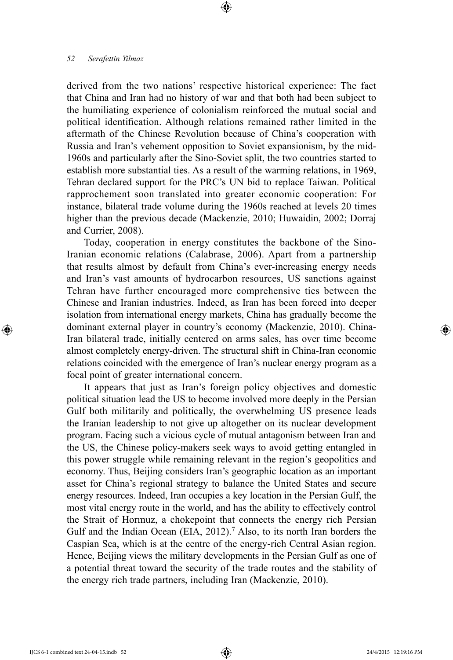derived from the two nations' respective historical experience: The fact that China and Iran had no history of war and that both had been subject to the humiliating experience of colonialism reinforced the mutual social and political identification. Although relations remained rather limited in the aftermath of the Chinese Revolution because of China's cooperation with Russia and Iran's vehement opposition to Soviet expansionism, by the mid-1960s and particularly after the Sino-Soviet split, the two countries started to establish more substantial ties. As a result of the warming relations, in 1969, Tehran declared support for the PRC's UN bid to replace Taiwan. Political rapprochement soon translated into greater economic cooperation: For instance, bilateral trade volume during the 1960s reached at levels 20 times higher than the previous decade (Mackenzie, 2010; Huwaidin, 2002; Dorraj and Currier, 2008).

Today, cooperation in energy constitutes the backbone of the Sino-Iranian economic relations (Calabrase, 2006). Apart from a partnership that results almost by default from China's ever-increasing energy needs and Iran's vast amounts of hydrocarbon resources, US sanctions against Tehran have further encouraged more comprehensive ties between the Chinese and Iranian industries. Indeed, as Iran has been forced into deeper isolation from international energy markets, China has gradually become the dominant external player in country's economy (Mackenzie, 2010). China-Iran bilateral trade, initially centered on arms sales, has over time become almost completely energy-driven. The structural shift in China-Iran economic relations coincided with the emergence of Iran's nuclear energy program as a focal point of greater international concern.

It appears that just as Iran's foreign policy objectives and domestic political situation lead the US to become involved more deeply in the Persian Gulf both militarily and politically, the overwhelming US presence leads the Iranian leadership to not give up altogether on its nuclear development program. Facing such a vicious cycle of mutual antagonism between Iran and the US, the Chinese policy-makers seek ways to avoid getting entangled in this power struggle while remaining relevant in the region's geopolitics and economy. Thus, Beijing considers Iran's geographic location as an important asset for China's regional strategy to balance the United States and secure energy resources. Indeed, Iran occupies a key location in the Persian Gulf, the most vital energy route in the world, and has the ability to effectively control the Strait of Hormuz, a chokepoint that connects the energy rich Persian Gulf and the Indian Ocean (EIA, 2012).<sup>7</sup> Also, to its north Iran borders the Caspian Sea, which is at the centre of the energy-rich Central Asian region. Hence, Beijing views the military developments in the Persian Gulf as one of a potential threat toward the security of the trade routes and the stability of the energy rich trade partners, including Iran (Mackenzie, 2010).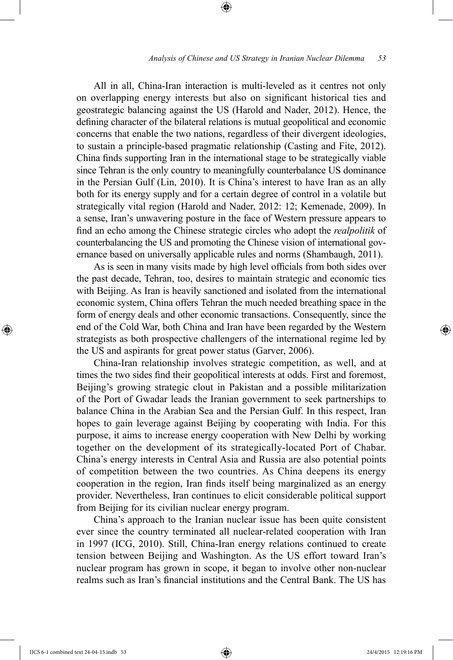All in all, China-Iran interaction is multi-leveled as it centres not only on overlapping energy interests but also on significant historical ties and geostrategic balancing against the US (Harold and Nader, 2012). Hence, the defining character of the bilateral relations is mutual geopolitical and economic concerns that enable the two nations, regardless of their divergent ideologies, to sustain a principle-based pragmatic relationship (Casting and Fite, 2012). China finds supporting Iran in the international stage to be strategically viable since Tehran is the only country to meaningfully counterbalance US dominance in the Persian Gulf (Lin, 2010). It is China's interest to have Iran as an ally both for its energy supply and for a certain degree of control in a volatile but strategically vital region (Harold and Nader, 2012: 12; Kemenade, 2009). In a sense, Iran's unwavering posture in the face of Western pressure appears to find an echo among the Chinese strategic circles who adopt the *realpolitik* of counterbalancing the US and promoting the Chinese vision of international governance based on universally applicable rules and norms (Shambaugh, 2011).

As is seen in many visits made by high level officials from both sides over the past decade, Tehran, too, desires to maintain strategic and economic ties with Beijing. As Iran is heavily sanctioned and isolated from the international economic system, China offers Tehran the much needed breathing space in the form of energy deals and other economic transactions. Consequently, since the end of the Cold War, both China and Iran have been regarded by the Western strategists as both prospective challengers of the international regime led by the US and aspirants for great power status (Garver, 2006).

China-Iran relationship involves strategic competition, as well, and at times the two sides find their geopolitical interests at odds. First and foremost, Beijing's growing strategic clout in Pakistan and a possible militarization of the Port of Gwadar leads the Iranian government to seek partnerships to balance China in the Arabian Sea and the Persian Gulf. In this respect, Iran hopes to gain leverage against Beijing by cooperating with India. For this purpose, it aims to increase energy cooperation with New Delhi by working together on the development of its strategically-located Port of Chabar. China's energy interests in Central Asia and Russia are also potential points of competition between the two countries. As China deepens its energy cooperation in the region, Iran finds itself being marginalized as an energy provider. Nevertheless, Iran continues to elicit considerable political support from Beijing for its civilian nuclear energy program.

China's approach to the Iranian nuclear issue has been quite consistent ever since the country terminated all nuclear-related cooperation with Iran in 1997 (ICG, 2010). Still, China-Iran energy relations continued to create tension between Beijing and Washington. As the US effort toward Iran's nuclear program has grown in scope, it began to involve other non-nuclear realms such as Iran's financial institutions and the Central Bank. The US has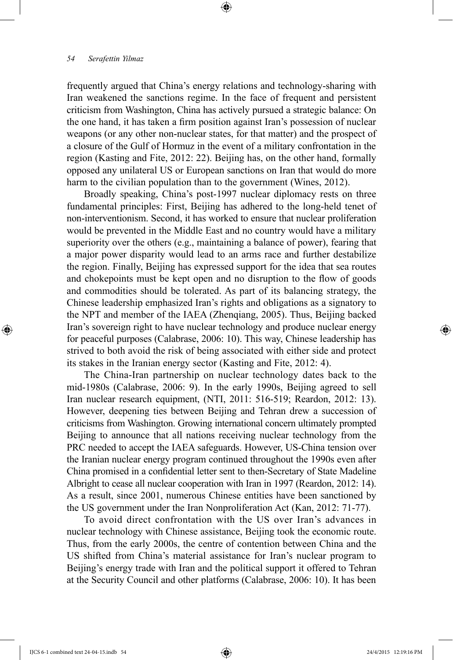frequently argued that China's energy relations and technology-sharing with Iran weakened the sanctions regime. In the face of frequent and persistent criticism from Washington, China has actively pursued a strategic balance: On the one hand, it has taken a firm position against Iran's possession of nuclear weapons (or any other non-nuclear states, for that matter) and the prospect of a closure of the Gulf of Hormuz in the event of a military confrontation in the region (Kasting and Fite, 2012: 22). Beijing has, on the other hand, formally opposed any unilateral US or European sanctions on Iran that would do more harm to the civilian population than to the government (Wines, 2012).

Broadly speaking, China's post-1997 nuclear diplomacy rests on three fundamental principles: First, Beijing has adhered to the long-held tenet of non-interventionism. Second, it has worked to ensure that nuclear proliferation would be prevented in the Middle East and no country would have a military superiority over the others (e.g., maintaining a balance of power), fearing that a major power disparity would lead to an arms race and further destabilize the region. Finally, Beijing has expressed support for the idea that sea routes and chokepoints must be kept open and no disruption to the flow of goods and commodities should be tolerated. As part of its balancing strategy, the Chinese leadership emphasized Iran's rights and obligations as a signatory to the NPT and member of the IAEA (Zhenqiang, 2005). Thus, Beijing backed Iran's sovereign right to have nuclear technology and produce nuclear energy for peaceful purposes (Calabrase, 2006: 10). This way, Chinese leadership has strived to both avoid the risk of being associated with either side and protect its stakes in the Iranian energy sector (Kasting and Fite, 2012: 4).

The China-Iran partnership on nuclear technology dates back to the mid-1980s (Calabrase, 2006: 9). In the early 1990s, Beijing agreed to sell Iran nuclear research equipment, (NTI, 2011: 516-519; Reardon, 2012: 13). However, deepening ties between Beijing and Tehran drew a succession of criticisms from Washington. Growing international concern ultimately prompted Beijing to announce that all nations receiving nuclear technology from the PRC needed to accept the IAEA safeguards. However, US-China tension over the Iranian nuclear energy program continued throughout the 1990s even after China promised in a confidential letter sent to then-Secretary of State Madeline Albright to cease all nuclear cooperation with Iran in 1997 (Reardon, 2012: 14). As a result, since 2001, numerous Chinese entities have been sanctioned by the US government under the Iran Nonproliferation Act (Kan, 2012: 71-77).

To avoid direct confrontation with the US over Iran's advances in nuclear technology with Chinese assistance, Beijing took the economic route. Thus, from the early 2000s, the centre of contention between China and the US shifted from China's material assistance for Iran's nuclear program to Beijing's energy trade with Iran and the political support it offered to Tehran at the Security Council and other platforms (Calabrase, 2006: 10). It has been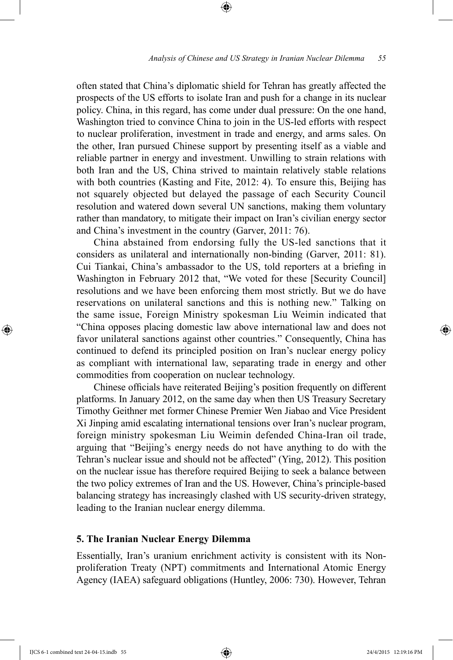often stated that China's diplomatic shield for Tehran has greatly affected the prospects of the US efforts to isolate Iran and push for a change in its nuclear policy. China, in this regard, has come under dual pressure: On the one hand, Washington tried to convince China to join in the US-led efforts with respect to nuclear proliferation, investment in trade and energy, and arms sales. On the other, Iran pursued Chinese support by presenting itself as a viable and reliable partner in energy and investment. Unwilling to strain relations with both Iran and the US, China strived to maintain relatively stable relations with both countries (Kasting and Fite, 2012: 4). To ensure this, Beijing has not squarely objected but delayed the passage of each Security Council resolution and watered down several UN sanctions, making them voluntary rather than mandatory, to mitigate their impact on Iran's civilian energy sector and China's investment in the country (Garver, 2011: 76).

China abstained from endorsing fully the US-led sanctions that it considers as unilateral and internationally non-binding (Garver, 2011: 81). Cui Tiankai, China's ambassador to the US, told reporters at a briefing in Washington in February 2012 that, "We voted for these [Security Council] resolutions and we have been enforcing them most strictly. But we do have reservations on unilateral sanctions and this is nothing new." Talking on the same issue, Foreign Ministry spokesman Liu Weimin indicated that "China opposes placing domestic law above international law and does not favor unilateral sanctions against other countries." Consequently, China has continued to defend its principled position on Iran's nuclear energy policy as compliant with international law, separating trade in energy and other commodities from cooperation on nuclear technology.

Chinese officials have reiterated Beijing's position frequently on different platforms. In January 2012, on the same day when then US Treasury Secretary Timothy Geithner met former Chinese Premier Wen Jiabao and Vice President Xi Jinping amid escalating international tensions over Iran's nuclear program, foreign ministry spokesman Liu Weimin defended China-Iran oil trade, arguing that "Beijing's energy needs do not have anything to do with the Tehran's nuclear issue and should not be affected" (Ying, 2012). This position on the nuclear issue has therefore required Beijing to seek a balance between the two policy extremes of Iran and the US. However, China's principle-based balancing strategy has increasingly clashed with US security-driven strategy, leading to the Iranian nuclear energy dilemma.

#### **5. The Iranian Nuclear Energy Dilemma**

Essentially, Iran's uranium enrichment activity is consistent with its Nonproliferation Treaty (NPT) commitments and International Atomic Energy Agency (IAEA) safeguard obligations (Huntley, 2006: 730). However, Tehran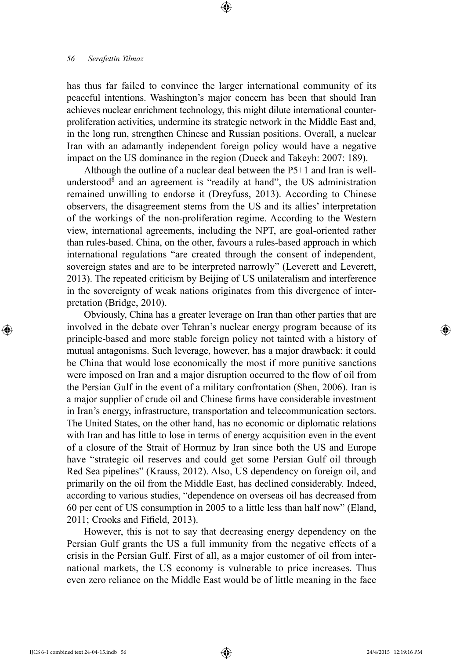has thus far failed to convince the larger international community of its peaceful intentions. Washington's major concern has been that should Iran achieves nuclear enrichment technology, this might dilute international counterproliferation activities, undermine its strategic network in the Middle East and, in the long run, strengthen Chinese and Russian positions. Overall, a nuclear Iran with an adamantly independent foreign policy would have a negative impact on the US dominance in the region (Dueck and Takeyh: 2007: 189).

Although the outline of a nuclear deal between the P5+1 and Iran is wellunderstood $8$  and an agreement is "readily at hand", the US administration remained unwilling to endorse it (Dreyfuss, 2013). According to Chinese observers, the disagreement stems from the US and its allies' interpretation of the workings of the non-proliferation regime. According to the Western view, international agreements, including the NPT, are goal-oriented rather than rules-based. China, on the other, favours a rules-based approach in which international regulations "are created through the consent of independent, sovereign states and are to be interpreted narrowly" (Leverett and Leverett, 2013). The repeated criticism by Beijing of US unilateralism and interference in the sovereignty of weak nations originates from this divergence of interpretation (Bridge, 2010).

Obviously, China has a greater leverage on Iran than other parties that are involved in the debate over Tehran's nuclear energy program because of its principle-based and more stable foreign policy not tainted with a history of mutual antagonisms. Such leverage, however, has a major drawback: it could be China that would lose economically the most if more punitive sanctions were imposed on Iran and a major disruption occurred to the flow of oil from the Persian Gulf in the event of a military confrontation (Shen, 2006). Iran is a major supplier of crude oil and Chinese firms have considerable investment in Iran's energy, infrastructure, transportation and telecommunication sectors. The United States, on the other hand, has no economic or diplomatic relations with Iran and has little to lose in terms of energy acquisition even in the event of a closure of the Strait of Hormuz by Iran since both the US and Europe have "strategic oil reserves and could get some Persian Gulf oil through Red Sea pipelines" (Krauss, 2012). Also, US dependency on foreign oil, and primarily on the oil from the Middle East, has declined considerably. Indeed, according to various studies, "dependence on overseas oil has decreased from 60 per cent of US consumption in 2005 to a little less than half now" (Eland, 2011; Crooks and Fifield, 2013).

However, this is not to say that decreasing energy dependency on the Persian Gulf grants the US a full immunity from the negative effects of a crisis in the Persian Gulf. First of all, as a major customer of oil from international markets, the US economy is vulnerable to price increases. Thus even zero reliance on the Middle East would be of little meaning in the face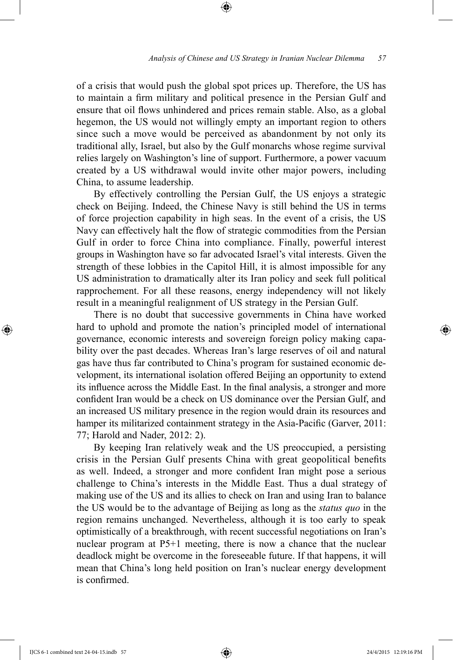of a crisis that would push the global spot prices up. Therefore, the US has to maintain a firm military and political presence in the Persian Gulf and ensure that oil flows unhindered and prices remain stable. Also, as a global hegemon, the US would not willingly empty an important region to others since such a move would be perceived as abandonment by not only its traditional ally, Israel, but also by the Gulf monarchs whose regime survival relies largely on Washington's line of support. Furthermore, a power vacuum created by a US withdrawal would invite other major powers, including China, to assume leadership.

By effectively controlling the Persian Gulf, the US enjoys a strategic check on Beijing. Indeed, the Chinese Navy is still behind the US in terms of force projection capability in high seas. In the event of a crisis, the US Navy can effectively halt the flow of strategic commodities from the Persian Gulf in order to force China into compliance. Finally, powerful interest groups in Washington have so far advocated Israel's vital interests. Given the strength of these lobbies in the Capitol Hill, it is almost impossible for any US administration to dramatically alter its Iran policy and seek full political rapprochement. For all these reasons, energy independency will not likely result in a meaningful realignment of US strategy in the Persian Gulf.

There is no doubt that successive governments in China have worked hard to uphold and promote the nation's principled model of international governance, economic interests and sovereign foreign policy making capability over the past decades. Whereas Iran's large reserves of oil and natural gas have thus far contributed to China's program for sustained economic development, its international isolation offered Beijing an opportunity to extend its influence across the Middle East. In the final analysis, a stronger and more confident Iran would be a check on US dominance over the Persian Gulf, and an increased US military presence in the region would drain its resources and hamper its militarized containment strategy in the Asia-Pacific (Garver, 2011: 77; Harold and Nader, 2012: 2).

By keeping Iran relatively weak and the US preoccupied, a persisting crisis in the Persian Gulf presents China with great geopolitical benefits as well. Indeed, a stronger and more confident Iran might pose a serious challenge to China's interests in the Middle East. Thus a dual strategy of making use of the US and its allies to check on Iran and using Iran to balance the US would be to the advantage of Beijing as long as the *status quo* in the region remains unchanged. Nevertheless, although it is too early to speak optimistically of a breakthrough, with recent successful negotiations on Iran's nuclear program at P5+1 meeting, there is now a chance that the nuclear deadlock might be overcome in the foreseeable future. If that happens, it will mean that China's long held position on Iran's nuclear energy development is confirmed.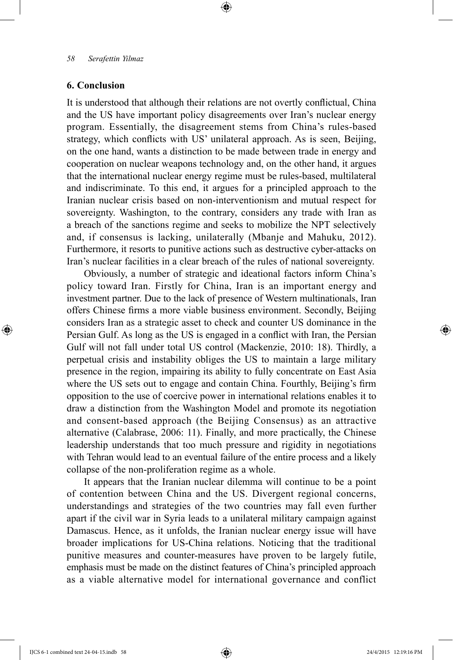# **6. Conclusion**

It is understood that although their relations are not overtly conflictual, China and the US have important policy disagreements over Iran's nuclear energy program. Essentially, the disagreement stems from China's rules-based strategy, which conflicts with US' unilateral approach. As is seen, Beijing, on the one hand, wants a distinction to be made between trade in energy and cooperation on nuclear weapons technology and, on the other hand, it argues that the international nuclear energy regime must be rules-based, multilateral and indiscriminate. To this end, it argues for a principled approach to the Iranian nuclear crisis based on non-interventionism and mutual respect for sovereignty. Washington, to the contrary, considers any trade with Iran as a breach of the sanctions regime and seeks to mobilize the NPT selectively and, if consensus is lacking, unilaterally (Mbanje and Mahuku, 2012). Furthermore, it resorts to punitive actions such as destructive cyber-attacks on Iran's nuclear facilities in a clear breach of the rules of national sovereignty.

Obviously, a number of strategic and ideational factors inform China's policy toward Iran. Firstly for China, Iran is an important energy and investment partner. Due to the lack of presence of Western multinationals, Iran offers Chinese firms a more viable business environment. Secondly, Beijing considers Iran as a strategic asset to check and counter US dominance in the Persian Gulf. As long as the US is engaged in a conflict with Iran, the Persian Gulf will not fall under total US control (Mackenzie, 2010: 18). Thirdly, a perpetual crisis and instability obliges the US to maintain a large military presence in the region, impairing its ability to fully concentrate on East Asia where the US sets out to engage and contain China. Fourthly, Beijing's firm opposition to the use of coercive power in international relations enables it to draw a distinction from the Washington Model and promote its negotiation and consent-based approach (the Beijing Consensus) as an attractive alternative (Calabrase, 2006: 11). Finally, and more practically, the Chinese leadership understands that too much pressure and rigidity in negotiations with Tehran would lead to an eventual failure of the entire process and a likely collapse of the non-proliferation regime as a whole.

It appears that the Iranian nuclear dilemma will continue to be a point of contention between China and the US. Divergent regional concerns, understandings and strategies of the two countries may fall even further apart if the civil war in Syria leads to a unilateral military campaign against Damascus. Hence, as it unfolds, the Iranian nuclear energy issue will have broader implications for US-China relations. Noticing that the traditional punitive measures and counter-measures have proven to be largely futile, emphasis must be made on the distinct features of China's principled approach as a viable alternative model for international governance and conflict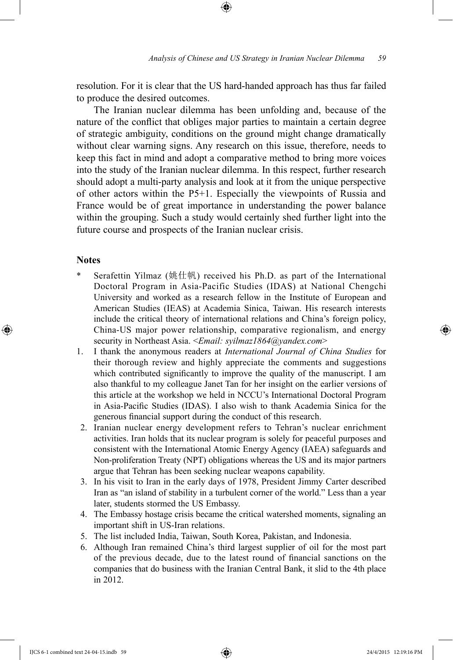resolution. For it is clear that the US hard-handed approach has thus far failed to produce the desired outcomes.

The Iranian nuclear dilemma has been unfolding and, because of the nature of the conflict that obliges major parties to maintain a certain degree of strategic ambiguity, conditions on the ground might change dramatically without clear warning signs. Any research on this issue, therefore, needs to keep this fact in mind and adopt a comparative method to bring more voices into the study of the Iranian nuclear dilemma. In this respect, further research should adopt a multi-party analysis and look at it from the unique perspective of other actors within the P5+1. Especially the viewpoints of Russia and France would be of great importance in understanding the power balance within the grouping. Such a study would certainly shed further light into the future course and prospects of the Iranian nuclear crisis.

### **Notes**

- Serafettin Yilmaz (姚仕帆) received his Ph.D. as part of the International Doctoral Program in Asia-Pacific Studies (IDAS) at National Chengchi University and worked as a research fellow in the Institute of European and American Studies (IEAS) at Academia Sinica, Taiwan. His research interests include the critical theory of international relations and China's foreign policy, China-US major power relationship, comparative regionalism, and energy security in Northeast Asia. <*Email: syilmaz1864@yandex.com*>
- 1. I thank the anonymous readers at *International Journal of China Studies* for their thorough review and highly appreciate the comments and suggestions which contributed significantly to improve the quality of the manuscript. I am also thankful to my colleague Janet Tan for her insight on the earlier versions of this article at the workshop we held in NCCU's International Doctoral Program in Asia-Pacific Studies (IDAS). I also wish to thank Academia Sinica for the generous financial support during the conduct of this research.
- 2. Iranian nuclear energy development refers to Tehran's nuclear enrichment activities. Iran holds that its nuclear program is solely for peaceful purposes and consistent with the International Atomic Energy Agency (IAEA) safeguards and Non-proliferation Treaty (NPT) obligations whereas the US and its major partners argue that Tehran has been seeking nuclear weapons capability.
- 3. In his visit to Iran in the early days of 1978, President Jimmy Carter described Iran as "an island of stability in a turbulent corner of the world." Less than a year later, students stormed the US Embassy.
- 4. The Embassy hostage crisis became the critical watershed moments, signaling an important shift in US-Iran relations.
- 5. The list included India, Taiwan, South Korea, Pakistan, and Indonesia.
- 6. Although Iran remained China's third largest supplier of oil for the most part of the previous decade, due to the latest round of financial sanctions on the companies that do business with the Iranian Central Bank, it slid to the 4th place in 2012.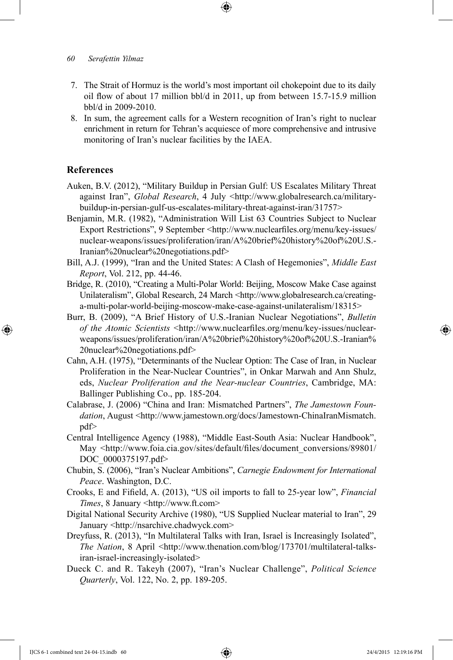- 7. The Strait of Hormuz is the world's most important oil chokepoint due to its daily oil flow of about 17 million bbl/d in 2011, up from between 15.7-15.9 million bbl/d in 2009-2010.
- 8. In sum, the agreement calls for a Western recognition of Iran's right to nuclear enrichment in return for Tehran's acquiesce of more comprehensive and intrusive monitoring of Iran's nuclear facilities by the IAEA.

# **References**

- Auken, B.V. (2012), "Military Buildup in Persian Gulf: US Escalates Military Threat against Iran", *Global Research*, 4 July <http://www.globalresearch.ca/militarybuildup-in-persian-gulf-us-escalates-military-threat-against-iran/31757>
- Benjamin, M.R. (1982), "Administration Will List 63 Countries Subject to Nuclear Export Restrictions", 9 September <http://www.nuclearfiles.org/menu/key-issues/ nuclear-weapons/issues/proliferation/iran/A%20brief%20history%20of%20U.S.- Iranian%20nuclear%20negotiations.pdf>
- Bill, A.J. (1999), "Iran and the United States: A Clash of Hegemonies", *Middle East Report*, Vol. 212, pp. 44-46.
- Bridge, R. (2010), "Creating a Multi-Polar World: Beijing, Moscow Make Case against Unilateralism", Global Research, 24 March <http://www.globalresearch.ca/creatinga-multi-polar-world-beijing-moscow-make-case-against-unilateralism/18315>
- Burr, B. (2009), "A Brief History of U.S.-Iranian Nuclear Negotiations", *Bulletin of the Atomic Scientists* <http://www.nuclearfiles.org/menu/key-issues/nuclearweapons/issues/proliferation/iran/A%20brief%20history%20of%20U.S.-Iranian% 20nuclear%20negotiations.pdf>
- Cahn, A.H. (1975), "Determinants of the Nuclear Option: The Case of Iran, in Nuclear Proliferation in the Near-Nuclear Countries", in Onkar Marwah and Ann Shulz, eds, *Nuclear Proliferation and the Near-nuclear Countries*, Cambridge, MA: Ballinger Publishing Co., pp. 185-204.
- Calabrase, J. (2006) "China and Iran: Mismatched Partners", *The Jamestown Foun*dation, August <http://www.jamestown.org/docs/Jamestown-ChinaIranMismatch. pdf>
- Central Intelligence Agency (1988), "Middle East-South Asia: Nuclear Handbook", May <http://www.foia.cia.gov/sites/default/files/document\_conversions/89801/ DOC\_0000375197.pdf>
- Chubin, S. (2006), "Iran's Nuclear Ambitions", *Carnegie Endowment for International Peace*. Washington, D.C.
- Crooks, E and Fifield, A. (2013), "US oil imports to fall to 25-year low", *Financial Times*, 8 January <http://www.ft.com>
- Digital National Security Archive (1980), "US Supplied Nuclear material to Iran", 29 January <http://nsarchive.chadwyck.com>
- Dreyfuss, R. (2013), "In Multilateral Talks with Iran, Israel is Increasingly Isolated", *The Nation*, 8 April <http://www.thenation.com/blog/173701/multilateral-talksiran-israel-increasingly-isolated>
- Dueck C. and R. Takeyh (2007), "Iran's Nuclear Challenge", *Political Science Quarterly*, Vol. 122, No. 2, pp. 189-205.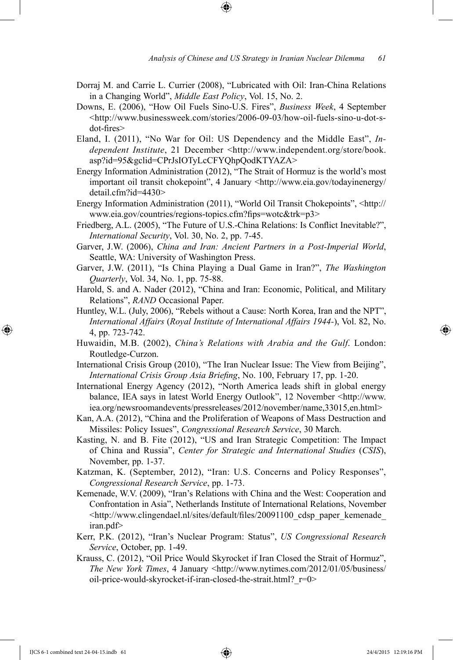- Dorraj M. and Carrie L. Currier (2008), "Lubricated with Oil: Iran-China Relations in a Changing World", *Middle East Policy*, Vol. 15, No. 2.
- Downs, E. (2006), "How Oil Fuels Sino-U.S. Fires", *Business Week*, 4 September <http://www.businessweek.com/stories/2006-09-03/how-oil-fuels-sino-u-dot-sdot-fires>
- Eland, I. (2011), "No War for Oil: US Dependency and the Middle East", *Independent Institute*, 21 December <http://www.independent.org/store/book. asp?id=95&gclid=CPrJsIOTyLcCFYQhpQodKTYAZA>
- Energy Information Administration (2012), "The Strait of Hormuz is the world's most important oil transit chokepoint", 4 January <http://www.eia.gov/todayinenergy/ detail.cfm?id=4430>
- Energy Information Administration (2011), "World Oil Transit Chokepoints", <http:// www.eia.gov/countries/regions-topics.cfm?fips=wotc&trk=p3>
- Friedberg, A.L. (2005), "The Future of U.S.-China Relations: Is Conflict Inevitable?", *International Security*, Vol. 30, No. 2, pp. 7-45.
- Garver, J.W. (2006), *China and Iran: Ancient Partners in a Post-Imperial World*, Seattle, WA: University of Washington Press.
- Garver, J.W. (2011), "Is China Playing a Dual Game in Iran?", *The Washington Quarterly*, Vol. 34, No. 1, pp. 75-88.
- Harold, S. and A. Nader (2012), "China and Iran: Economic, Political, and Military Relations", *RAND* Occasional Paper.
- Huntley, W.L. (July, 2006), "Rebels without a Cause: North Korea, Iran and the NPT", *International Affairs* (*Royal Institute of International Affairs 1944-*), Vol. 82, No. 4, pp. 723-742.
- Huwaidin, M.B. (2002), *China's Relations with Arabia and the Gulf*. London: Routledge-Curzon.
- International Crisis Group (2010), "The Iran Nuclear Issue: The View from Beijing", *International Crisis Group Asia Briefing*, No. 100, February 17, pp. 1-20.
- International Energy Agency (2012), "North America leads shift in global energy balance, IEA says in latest World Energy Outlook", 12 November <http://www. iea.org/newsroomandevents/pressreleases/2012/november/name,33015,en.html>
- Kan, A.A. (2012), "China and the Proliferation of Weapons of Mass Destruction and Missiles: Policy Issues", *Congressional Research Service*, 30 March.
- Kasting, N. and B. Fite (2012), "US and Iran Strategic Competition: The Impact of China and Russia", *Center for Strategic and International Studies* (*CSIS*), November, pp. 1-37.
- Katzman, K. (September, 2012), "Iran: U.S. Concerns and Policy Responses", *Congressional Research Service*, pp. 1-73.
- Kemenade, W.V. (2009), "Iran's Relations with China and the West: Cooperation and Confrontation in Asia", Netherlands Institute of International Relations, November <http://www.clingendael.nl/sites/default/files/20091100\_cdsp\_paper\_kemenade\_ iran.pdf>
- Kerr, P.K. (2012), "Iran's Nuclear Program: Status", *US Congressional Research Service*, October, pp. 1-49.
- Krauss, C. (2012), "Oil Price Would Skyrocket if Iran Closed the Strait of Hormuz", *The New York Times*, 4 January <http://www.nytimes.com/2012/01/05/business/ oil-price-would-skyrocket-if-iran-closed-the-strait.html?\_r=0>